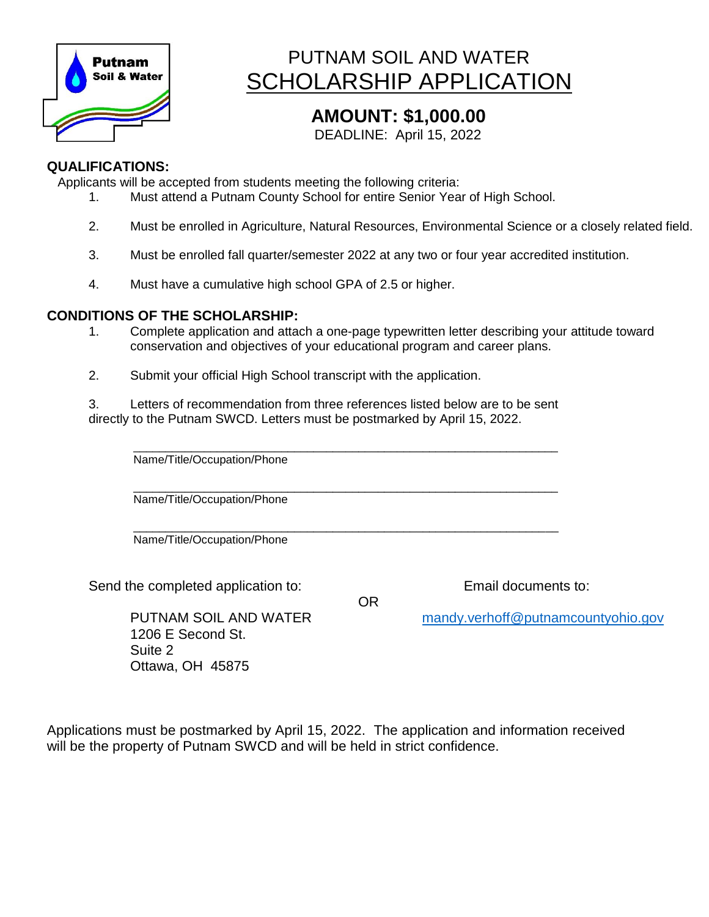

# PUTNAM SOIL AND WATER SCHOLARSHIP APPLICATION

### **AMOUNT: \$1,000.00**

DEADLINE: April 15, 2022

#### **QUALIFICATIONS:**

Applicants will be accepted from students meeting the following criteria:

- 1. Must attend a Putnam County School for entire Senior Year of High School.
- 2. Must be enrolled in Agriculture, Natural Resources, Environmental Science or a closely related field.
- 3. Must be enrolled fall quarter/semester 2022 at any two or four year accredited institution.
- 4. Must have a cumulative high school GPA of 2.5 or higher.

#### **CONDITIONS OF THE SCHOLARSHIP:**

1. Complete application and attach a one-page typewritten letter describing your attitude toward conservation and objectives of your educational program and career plans.

OR

2. Submit your official High School transcript with the application.

3. Letters of recommendation from three references listed below are to be sent directly to the Putnam SWCD. Letters must be postmarked by April 15, 2022.

 $\Box$ Name/Title/Occupation/Phone

 $\Box$ Name/Title/Occupation/Phone

 $\Box$ Name/Title/Occupation/Phone

Send the completed application to: Email documents to:

1206 E Second St. Suite 2 Ottawa, OH 45875

PUTNAM SOIL AND WATER [mandy.verhoff@putnamcountyohio.gov](mailto:mandy.verhoff@putnamcountyohio.gov)

Applications must be postmarked by April 15, 2022. The application and information received will be the property of Putnam SWCD and will be held in strict confidence.